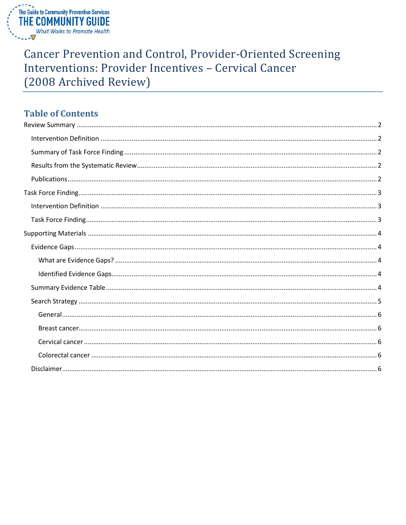

# **Cancer Prevention and Control, Provider-Oriented Screening** Interventions: Provider Incentives - Cervical Cancer (2008 Archived Review)

# **Table of Contents**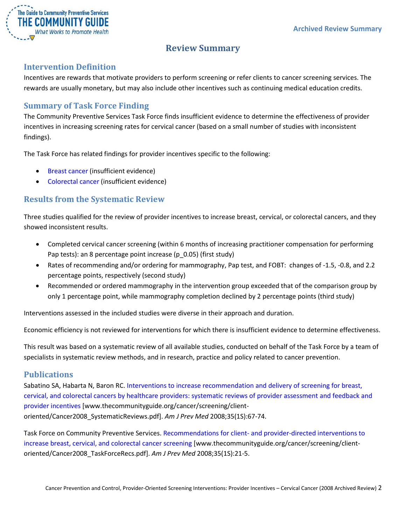

# **Review Summary**

## <span id="page-1-1"></span><span id="page-1-0"></span>**Intervention Definition**

Incentives are rewards that motivate providers to perform screening or refer clients to cancer screening services. The rewards are usually monetary, but may also include other incentives such as continuing medical education credits.

## <span id="page-1-2"></span>**Summary of Task Force Finding**

The Community Preventive Services Task Force finds insufficient evidence to determine the effectiveness of provider incentives in increasing screening rates for cervical cancer (based on a small number of studies with inconsistent findings).

The Task Force has related findings for provider incentives specific to the following:

- Breast cancer (insufficient evidence)
- Colorectal cancer (insufficient evidence)

# <span id="page-1-3"></span>**Results from the Systematic Review**

Three studies qualified for the review of provider incentives to increase breast, cervical, or colorectal cancers, and they showed inconsistent results.

- Completed cervical cancer screening (within 6 months of increasing practitioner compensation for performing Pap tests): an 8 percentage point increase (p\_0.05) (first study)
- Rates of recommending and/or ordering for mammography, Pap test, and FOBT: changes of -1.5, -0.8, and 2.2 percentage points, respectively (second study)
- Recommended or ordered mammography in the intervention group exceeded that of the comparison group by only 1 percentage point, while mammography completion declined by 2 percentage points (third study)

Interventions assessed in the included studies were diverse in their approach and duration.

Economic efficiency is not reviewed for interventions for which there is insufficient evidence to determine effectiveness.

This result was based on a systematic review of all available studies, conducted on behalf of the Task Force by a team of specialists in systematic review methods, and in research, practice and policy related to cancer prevention.

### <span id="page-1-4"></span>**Publications**

Sabatino SA, Habarta N, Baron RC. [Interventions to increase recommendation and delivery of screening for breast,](http://www.thecommunityguide.org/cancer/screening/client-oriented/Cancer2008_SystematicReviews.pdf)  [cervical, and colorectal cancers by healthcare providers: systematic reviews of provider assessment and feedback and](http://www.thecommunityguide.org/cancer/screening/client-oriented/Cancer2008_SystematicReviews.pdf)  [provider incentives](http://www.thecommunityguide.org/cancer/screening/client-oriented/Cancer2008_SystematicReviews.pdf) [www.thecommunityguide.org/cancer/screening/clientoriented/Cancer2008\_SystematicReviews.pdf]. *Am J Prev Med* 2008;35(1S):67-74.

Task Force on Community Preventive Services. Recommendations for client- [and provider-directed interventions to](http://www.thecommunityguide.org/cancer/screening/client-oriented/Cancer2008_TaskForceRecs.pdf)  [increase breast, cervical, and colorectal cancer screening](http://www.thecommunityguide.org/cancer/screening/client-oriented/Cancer2008_TaskForceRecs.pdf) [www.thecommunityguide.org/cancer/screening/clientoriented/Cancer2008\_TaskForceRecs.pdf]. *Am J Prev Med* 2008;35(1S):21-5.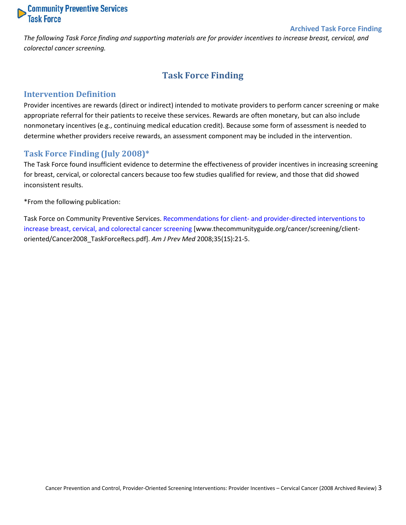

#### **Archived Task Force Finding**

<span id="page-2-0"></span>*The following Task Force finding and supporting materials are for provider incentives to increase breast, cervical, and colorectal cancer screening.*

# **Task Force Finding**

#### <span id="page-2-1"></span>**Intervention Definition**

Provider incentives are rewards (direct or indirect) intended to motivate providers to perform cancer screening or make appropriate referral for their patients to receive these services. Rewards are often monetary, but can also include nonmonetary incentives (e.g., continuing medical education credit). Because some form of assessment is needed to determine whether providers receive rewards, an assessment component may be included in the intervention.

#### <span id="page-2-2"></span>**Task Force Finding (July 2008)\***

The Task Force found insufficient evidence to determine the effectiveness of provider incentives in increasing screening for breast, cervical, or colorectal cancers because too few studies qualified for review, and those that did showed inconsistent results.

\*From the following publication:

Task Force on Community Preventive Services. Recommendations for client- [and provider-directed interventions to](http://www.thecommunityguide.org/cancer/screening/client-oriented/Cancer2008_TaskForceRecs.pdf)  [increase breast, cervical, and colorectal cancer screening](http://www.thecommunityguide.org/cancer/screening/client-oriented/Cancer2008_TaskForceRecs.pdf) [www.thecommunityguide.org/cancer/screening/clientoriented/Cancer2008\_TaskForceRecs.pdf]. *Am J Prev Med* 2008;35(1S):21-5.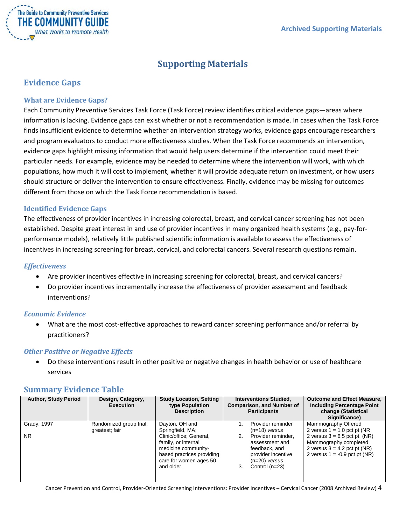

# **Supporting Materials**

# <span id="page-3-1"></span><span id="page-3-0"></span>**Evidence Gaps**

#### <span id="page-3-2"></span>**What are Evidence Gaps?**

Each Community Preventive Services Task Force (Task Force) review identifies critical evidence gaps—areas where information is lacking. Evidence gaps can exist whether or not a recommendation is made. In cases when the Task Force finds insufficient evidence to determine whether an intervention strategy works, evidence gaps encourage researchers and program evaluators to conduct more effectiveness studies. When the Task Force recommends an intervention, evidence gaps highlight missing information that would help users determine if the intervention could meet their particular needs. For example, evidence may be needed to determine where the intervention will work, with which populations, how much it will cost to implement, whether it will provide adequate return on investment, or how users should structure or deliver the intervention to ensure effectiveness. Finally, evidence may be missing for outcomes different from those on which the Task Force recommendation is based.

#### <span id="page-3-3"></span>**Identified Evidence Gaps**

The effectiveness of provider incentives in increasing colorectal, breast, and cervical cancer screening has not been established. Despite great interest in and use of provider incentives in many organized health systems (e.g., pay-forperformance models), relatively little published scientific information is available to assess the effectiveness of incentives in increasing screening for breast, cervical, and colorectal cancers. Several research questions remain.

#### *Effectiveness*

- Are provider incentives effective in increasing screening for colorectal, breast, and cervical cancers?
- Do provider incentives incrementally increase the effectiveness of provider assessment and feedback interventions?

#### *Economic Evidence*

• What are the most cost-effective approaches to reward cancer screening performance and/or referral by practitioners?

#### *Other Positive or Negative Effects*

• Do these interventions result in other positive or negative changes in health behavior or use of healthcare services

### <span id="page-3-4"></span>**Summary Evidence Table**

| <b>Author, Study Period</b> | Design, Category,<br><b>Execution</b> | <b>Study Location, Setting</b><br>type Population<br><b>Description</b>                                                                    |    | <b>Interventions Studied,</b><br><b>Comparison, and Number of</b><br><b>Participants</b>                           | <b>Outcome and Effect Measure,</b><br><b>Including Percentage Point</b><br>change (Statistical<br>Significance)              |
|-----------------------------|---------------------------------------|--------------------------------------------------------------------------------------------------------------------------------------------|----|--------------------------------------------------------------------------------------------------------------------|------------------------------------------------------------------------------------------------------------------------------|
| Grady, 1997                 | Randomized group trial;               | Dayton, OH and                                                                                                                             |    | Provider reminder                                                                                                  | Mammography Offered                                                                                                          |
|                             | greatest; fair                        | Springfield, MA;                                                                                                                           |    | $(n=18)$ versus                                                                                                    | 2 versus $1 = 1.0$ pct pt (NR)                                                                                               |
| <b>NR</b>                   |                                       | Clinic/office; General,<br>family, or internal<br>medicine community-<br>based practices providing<br>care for women ages 50<br>and older. | 2. | Provider reminder,<br>assessment and<br>feedback, and<br>provider incentive<br>$(n=20)$ versus<br>Control $(n=23)$ | 2 versus $3 = 6.5$ pct pt (NR)<br>Mammography completed<br>2 versus $3 = 4.2$ pct pt (NR)<br>2 versus $1 = -0.9$ pct pt (NR) |

Cancer Prevention and Control, Provider-Oriented Screening Interventions: Provider Incentives – Cervical Cancer (2008 Archived Review) 4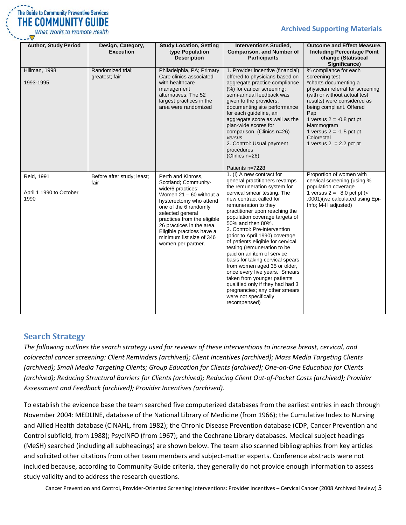

**Archived Supporting Materials**

| <b>Author, Study Period</b>                   | Design, Category,<br><b>Execution</b> | <b>Study Location, Setting</b><br>type Population<br><b>Description</b>                                                                                                                                                                                                                                         | <b>Interventions Studied,</b><br><b>Comparison, and Number of</b><br><b>Participants</b>                                                                                                                                                                                                                                                                                                                                                                                                                                                                                                                                                                                                                      | <b>Outcome and Effect Measure,</b><br><b>Including Percentage Point</b><br>change (Statistical<br>Significance)                                                                                                                                                                                                            |
|-----------------------------------------------|---------------------------------------|-----------------------------------------------------------------------------------------------------------------------------------------------------------------------------------------------------------------------------------------------------------------------------------------------------------------|---------------------------------------------------------------------------------------------------------------------------------------------------------------------------------------------------------------------------------------------------------------------------------------------------------------------------------------------------------------------------------------------------------------------------------------------------------------------------------------------------------------------------------------------------------------------------------------------------------------------------------------------------------------------------------------------------------------|----------------------------------------------------------------------------------------------------------------------------------------------------------------------------------------------------------------------------------------------------------------------------------------------------------------------------|
| Hillman, 1998<br>1993-1995                    | Randomized trial;<br>greatest; fair   | Philadelphia, PA; Primary<br>Care clinics associated<br>with healthcare<br>management<br>alternatives; The 52<br>largest practices in the<br>area were randomized                                                                                                                                               | 1. Provider incentive (financial)<br>offered to physicians based on<br>aggregate practice compliance<br>(%) for cancer screening;<br>semi-annual feedback was<br>given to the providers,<br>documenting site performance<br>for each guideline, an<br>aggregate score as well as the<br>plan-wide scores for<br>comparison. (Clinics n=26)<br>versus<br>2. Control: Usual payment<br>procedures<br>(Clinics $n=26$ )                                                                                                                                                                                                                                                                                          | % compliance for each<br>screening test<br>*charts documenting a<br>physician referral for screening<br>(with or without actual test<br>results) were considered as<br>being compliant. Offered<br>Pap<br>1 versus $2 = -0.8$ pct pt<br>Mammogram<br>1 versus $2 = -1.5$ pct pt<br>Colorectal<br>1 versus $2 = 2.2$ pct pt |
| Reid, 1991<br>April 1 1990 to October<br>1990 | Before after study; least;<br>fair    | Perth and Kinross,<br>Scotland; Community-<br>wide/6 practices;<br>Women $21 - 60$ without a<br>hysterectomy who attend<br>one of the 6 randomly<br>selected general<br>practices from the eligible<br>26 practices in the area.<br>Eligible practices have a<br>minimum list size of 346<br>women per partner. | Patients n=7228<br>1. (I) A new contract for<br>general practitioners revamps<br>the remuneration system for<br>cervical smear testing. The<br>new contract called for<br>remuneration to they<br>practitioner upon reaching the<br>population coverage targets of<br>50% and then 80%.<br>2. Control: Pre-intervention<br>(prior to April 1990) coverage<br>of patients eligible for cervical<br>testing (remuneration to be<br>paid on an item of service<br>basis for taking cervical spears<br>from women aged 35 or older,<br>once every five years. Smears<br>taken from younger patients<br>qualified only if they had had 3<br>pregnancies; any other smears<br>were not specifically<br>recompensed) | Proportion of women with<br>cervical screening (using %<br>population coverage<br>1 versus $2 = 8.0$ pct pt $\left\langle \leq 1 \right\rangle$<br>.0001) (we calculated using Epi-<br>Info; M-H adjusted)                                                                                                                 |

# <span id="page-4-0"></span>**Search Strategy**

*The following outlines the search strategy used for reviews of these interventions to increase breast, cervical, and colorectal cancer screening: Client Reminders (archived); Client Incentives (archived); Mass Media Targeting Clients (archived); Small Media Targeting Clients; Group Education for Clients (archived); One-on-One Education for Clients (archived); Reducing Structural Barriers for Clients (archived); Reducing Client Out-of-Pocket Costs (archived); Provider Assessment and Feedback (archived); Provider Incentives (archived).*

To establish the evidence base the team searched five computerized databases from the earliest entries in each through November 2004: MEDLINE, database of the National Library of Medicine (from 1966); the Cumulative Index to Nursing and Allied Health database (CINAHL, from 1982); the Chronic Disease Prevention database (CDP, Cancer Prevention and Control subfield, from 1988); PsycINFO (from 1967); and the Cochrane Library databases. Medical subject headings (MeSH) searched (including all subheadings) are shown below. The team also scanned bibliographies from key articles and solicited other citations from other team members and subject-matter experts. Conference abstracts were not included because, according to Community Guide criteria, they generally do not provide enough information to assess study validity and to address the research questions.

Cancer Prevention and Control, Provider-Oriented Screening Interventions: Provider Incentives – Cervical Cancer (2008 Archived Review) 5